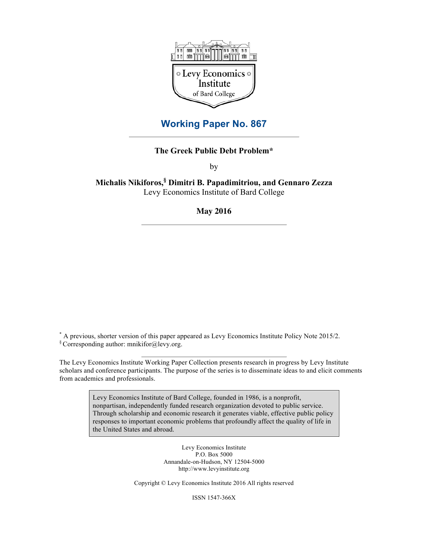

# **Working Paper No. 867**

# **The Greek Public Debt Problem\***

by

**Michalis Nikiforos,§ Dimitri B. Papadimitriou, and Gennaro Zezza** Levy Economics Institute of Bard College

## **May 2016**

\* A previous, shorter version of this paper appeared as Levy Economics Institute Policy Note 2015/2.  $\S$  Corresponding author: mnikifor@levy.org.

The Levy Economics Institute Working Paper Collection presents research in progress by Levy Institute scholars and conference participants. The purpose of the series is to disseminate ideas to and elicit comments from academics and professionals.

> Levy Economics Institute of Bard College, founded in 1986, is a nonprofit, nonpartisan, independently funded research organization devoted to public service. Through scholarship and economic research it generates viable, effective public policy responses to important economic problems that profoundly affect the quality of life in the United States and abroad.

> > Levy Economics Institute P.O. Box 5000 Annandale-on-Hudson, NY 12504-5000 http://www.levyinstitute.org

Copyright © Levy Economics Institute 2016 All rights reserved

ISSN 1547-366X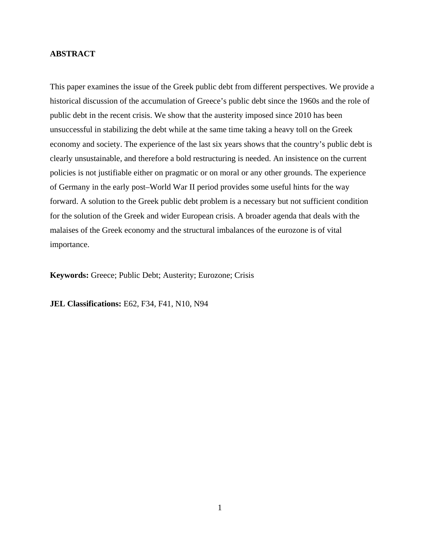# **ABSTRACT**

This paper examines the issue of the Greek public debt from different perspectives. We provide a historical discussion of the accumulation of Greece's public debt since the 1960s and the role of public debt in the recent crisis. We show that the austerity imposed since 2010 has been unsuccessful in stabilizing the debt while at the same time taking a heavy toll on the Greek economy and society. The experience of the last six years shows that the country's public debt is clearly unsustainable, and therefore a bold restructuring is needed. An insistence on the current policies is not justifiable either on pragmatic or on moral or any other grounds. The experience of Germany in the early post–World War II period provides some useful hints for the way forward. A solution to the Greek public debt problem is a necessary but not sufficient condition for the solution of the Greek and wider European crisis. A broader agenda that deals with the malaises of the Greek economy and the structural imbalances of the eurozone is of vital importance.

**Keywords:** Greece; Public Debt; Austerity; Eurozone; Crisis

**JEL Classifications:** E62, F34, F41, N10, N94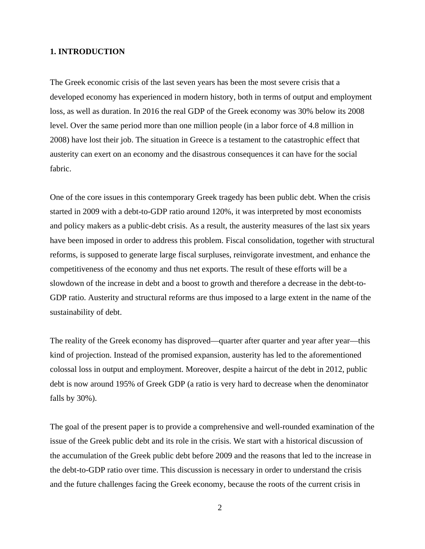### **1. INTRODUCTION**

The Greek economic crisis of the last seven years has been the most severe crisis that a developed economy has experienced in modern history, both in terms of output and employment loss, as well as duration. In 2016 the real GDP of the Greek economy was 30% below its 2008 level. Over the same period more than one million people (in a labor force of 4.8 million in 2008) have lost their job. The situation in Greece is a testament to the catastrophic effect that austerity can exert on an economy and the disastrous consequences it can have for the social fabric.

One of the core issues in this contemporary Greek tragedy has been public debt. When the crisis started in 2009 with a debt-to-GDP ratio around 120%, it was interpreted by most economists and policy makers as a public-debt crisis. As a result, the austerity measures of the last six years have been imposed in order to address this problem. Fiscal consolidation, together with structural reforms, is supposed to generate large fiscal surpluses, reinvigorate investment, and enhance the competitiveness of the economy and thus net exports. The result of these efforts will be a slowdown of the increase in debt and a boost to growth and therefore a decrease in the debt-to-GDP ratio. Austerity and structural reforms are thus imposed to a large extent in the name of the sustainability of debt.

The reality of the Greek economy has disproved—quarter after quarter and year after year—this kind of projection. Instead of the promised expansion, austerity has led to the aforementioned colossal loss in output and employment. Moreover, despite a haircut of the debt in 2012, public debt is now around 195% of Greek GDP (a ratio is very hard to decrease when the denominator falls by 30%).

The goal of the present paper is to provide a comprehensive and well-rounded examination of the issue of the Greek public debt and its role in the crisis. We start with a historical discussion of the accumulation of the Greek public debt before 2009 and the reasons that led to the increase in the debt-to-GDP ratio over time. This discussion is necessary in order to understand the crisis and the future challenges facing the Greek economy, because the roots of the current crisis in

2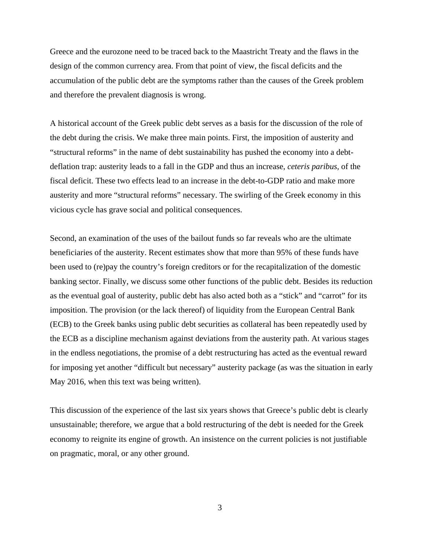Greece and the eurozone need to be traced back to the Maastricht Treaty and the flaws in the design of the common currency area. From that point of view, the fiscal deficits and the accumulation of the public debt are the symptoms rather than the causes of the Greek problem and therefore the prevalent diagnosis is wrong.

A historical account of the Greek public debt serves as a basis for the discussion of the role of the debt during the crisis. We make three main points. First, the imposition of austerity and "structural reforms" in the name of debt sustainability has pushed the economy into a debtdeflation trap: austerity leads to a fall in the GDP and thus an increase, *ceteris paribus,* of the fiscal deficit. These two effects lead to an increase in the debt-to-GDP ratio and make more austerity and more "structural reforms" necessary. The swirling of the Greek economy in this vicious cycle has grave social and political consequences.

Second, an examination of the uses of the bailout funds so far reveals who are the ultimate beneficiaries of the austerity. Recent estimates show that more than 95% of these funds have been used to (re)pay the country's foreign creditors or for the recapitalization of the domestic banking sector. Finally, we discuss some other functions of the public debt. Besides its reduction as the eventual goal of austerity, public debt has also acted both as a "stick" and "carrot" for its imposition. The provision (or the lack thereof) of liquidity from the European Central Bank (ECB) to the Greek banks using public debt securities as collateral has been repeatedly used by the ECB as a discipline mechanism against deviations from the austerity path. At various stages in the endless negotiations, the promise of a debt restructuring has acted as the eventual reward for imposing yet another "difficult but necessary" austerity package (as was the situation in early May 2016, when this text was being written).

This discussion of the experience of the last six years shows that Greece's public debt is clearly unsustainable; therefore, we argue that a bold restructuring of the debt is needed for the Greek economy to reignite its engine of growth. An insistence on the current policies is not justifiable on pragmatic, moral, or any other ground.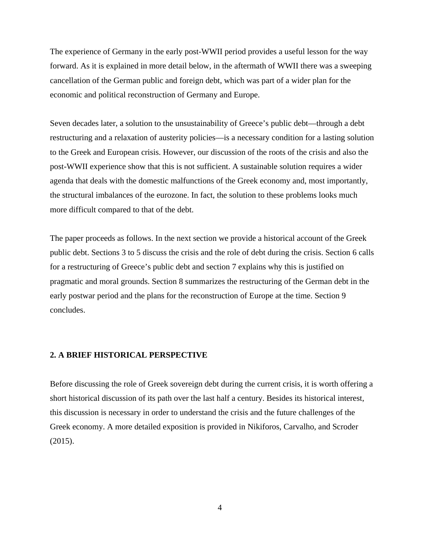The experience of Germany in the early post-WWII period provides a useful lesson for the way forward. As it is explained in more detail below, in the aftermath of WWII there was a sweeping cancellation of the German public and foreign debt, which was part of a wider plan for the economic and political reconstruction of Germany and Europe.

Seven decades later, a solution to the unsustainability of Greece's public debt—through a debt restructuring and a relaxation of austerity policies—is a necessary condition for a lasting solution to the Greek and European crisis. However, our discussion of the roots of the crisis and also the post-WWII experience show that this is not sufficient. A sustainable solution requires a wider agenda that deals with the domestic malfunctions of the Greek economy and, most importantly, the structural imbalances of the eurozone. In fact, the solution to these problems looks much more difficult compared to that of the debt.

The paper proceeds as follows. In the next section we provide a historical account of the Greek public debt. Sections 3 to 5 discuss the crisis and the role of debt during the crisis. Section 6 calls for a restructuring of Greece's public debt and section 7 explains why this is justified on pragmatic and moral grounds. Section 8 summarizes the restructuring of the German debt in the early postwar period and the plans for the reconstruction of Europe at the time. Section 9 concludes.

# **2. A BRIEF HISTORICAL PERSPECTIVE**

Before discussing the role of Greek sovereign debt during the current crisis, it is worth offering a short historical discussion of its path over the last half a century. Besides its historical interest, this discussion is necessary in order to understand the crisis and the future challenges of the Greek economy. A more detailed exposition is provided in Nikiforos, Carvalho, and Scroder (2015).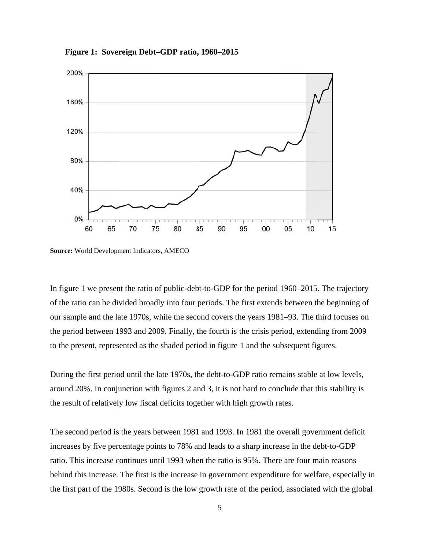



Source: World Development Indicators, AMECO

In figure 1 we present the ratio of public-debt-to-GDP for the period 1960–2015. The trajectory of the ratio can be divided broadly into four periods. The first extends between the beginning of our sample and the late 1970s, while the second covers the years 1981–93. The third focuses on the period between 1993 and 2009. Finally, the fourth is the crisis period, extending from 2009 to the present, represented as the shaded period in figure 1 and the subsequent figures.

During the first period until the late 1970s, the debt-to-GDP ratio remains stable at low levels, around 20%. In conjunction with figures 2 and 3, it is not hard to conclude that this stability is the result of relatively low fiscal deficits together with high growth rates.

The second period is the years between 1981 and 1993. In 1981 the overall government deficit increases by five percentage points to 78% and leads to a sharp increase in the debt-to-GDP ratio. This increase continues until 1993 when the ratio is 95%. There are four main reasons behind this increase. The first is the increase in government expenditure for welfare, especially in the first part of the 1980s. Second is the low growth rate of the period, associated with the global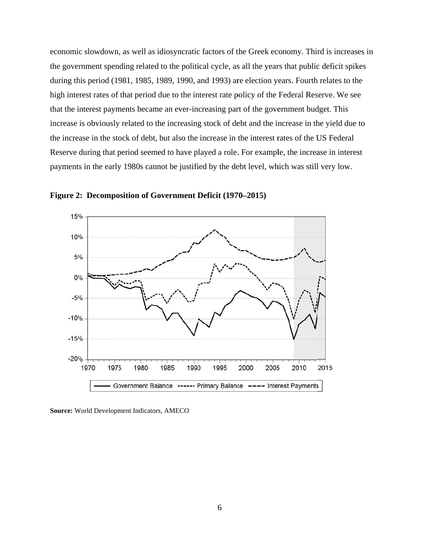economic slowdown, as well as idiosyncratic factors of the Greek economy. Third is increases in the government spending related to the political cycle, as all the years that public deficit spikes during this period (1981, 1985, 1989, 1990, and 1993) are election years. Fourth relates to the high interest rates of that period due to the interest rate policy of the Federal Reserve. We see that the interest payments became an ever-increasing part of the government budget. This increase is obviously related to the increasing stock of debt and the increase in the yield due to the increase in the stock of debt, but also the increase in the interest rates of the US Federal Reserve during that period seemed to have played a role. For example, the increase in interest payments in the early 1980s cannot be justified by the debt level, which was still very low.



Figure 2: Decomposition of Government Deficit (1970–2015)

Source: World Development Indicators, AMECO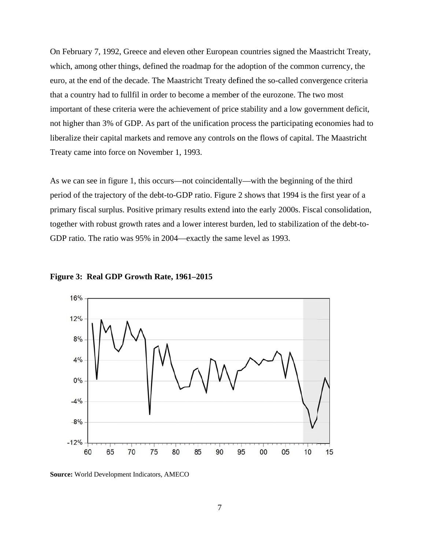On February 7, 1992, Greece and eleven other European countries signed the Maastricht Treaty, which, among other things, defined the roadmap for the adoption of the common currency, the euro, at the end of the decade. The Maastricht Treaty defined the so-called convergence criteria that a country had to fullfil in order to become a member of the eurozone. The two most important of these criteria were the achievement of price stability and a low government deficit, not higher than 3% of GDP. As part of the unification process the participating economies had to liberalize their capital markets and remove any controls on the flows of capital. The Maastricht Treaty came into force on November 1, 1993.

As we can see in figure 1, this occurs—not coincidentally—with the beginning of the third period of the trajectory of the debt-to-GDP ratio. Figure 2 shows that 1994 is the first year of a primary fiscal surplus. Positive primary results extend into the early 2000s. Fiscal consolidation, together with robust growth rates and a lower interest burden, led to stabilization of the debt-to-GDP ratio. The ratio was 95% in 2004—exactly the same level as 1993.



Figure 3: Real GDP Growth Rate, 1961-2015

**Source:** World Development Indicators, AMECO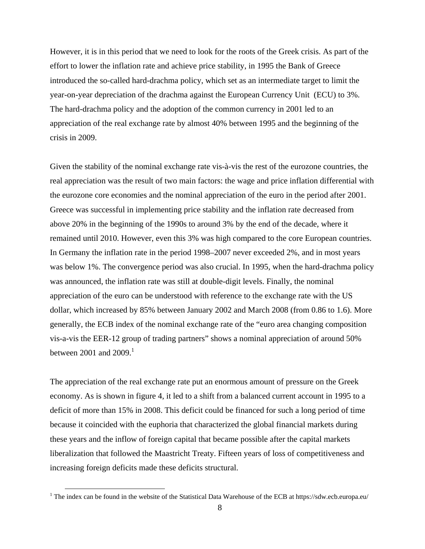However, it is in this period that we need to look for the roots of the Greek crisis. As part of the effort to lower the inflation rate and achieve price stability, in 1995 the Bank of Greece introduced the so-called hard-drachma policy, which set as an intermediate target to limit the year-on-year depreciation of the drachma against the European Currency Unit (ECU) to 3%. The hard-drachma policy and the adoption of the common currency in 2001 led to an appreciation of the real exchange rate by almost 40% between 1995 and the beginning of the crisis in 2009.

Given the stability of the nominal exchange rate vis-à-vis the rest of the eurozone countries, the real appreciation was the result of two main factors: the wage and price inflation differential with the eurozone core economies and the nominal appreciation of the euro in the period after 2001. Greece was successful in implementing price stability and the inflation rate decreased from above 20% in the beginning of the 1990s to around 3% by the end of the decade, where it remained until 2010. However, even this 3% was high compared to the core European countries. In Germany the inflation rate in the period 1998–2007 never exceeded 2%, and in most years was below 1%. The convergence period was also crucial. In 1995, when the hard-drachma policy was announced, the inflation rate was still at double-digit levels. Finally, the nominal appreciation of the euro can be understood with reference to the exchange rate with the US dollar, which increased by 85% between January 2002 and March 2008 (from 0.86 to 1.6). More generally, the ECB index of the nominal exchange rate of the "euro area changing composition vis-a-vis the EER-12 group of trading partners" shows a nominal appreciation of around 50% between 2001 and 2009. $<sup>1</sup>$ </sup>

The appreciation of the real exchange rate put an enormous amount of pressure on the Greek economy. As is shown in figure 4, it led to a shift from a balanced current account in 1995 to a deficit of more than 15% in 2008. This deficit could be financed for such a long period of time because it coincided with the euphoria that characterized the global financial markets during these years and the inflow of foreign capital that became possible after the capital markets liberalization that followed the Maastricht Treaty. Fifteen years of loss of competitiveness and increasing foreign deficits made these deficits structural.

<sup>&</sup>lt;sup>1</sup> The index can be found in the website of the Statistical Data Warehouse of the ECB at https://sdw.ecb.europa.eu/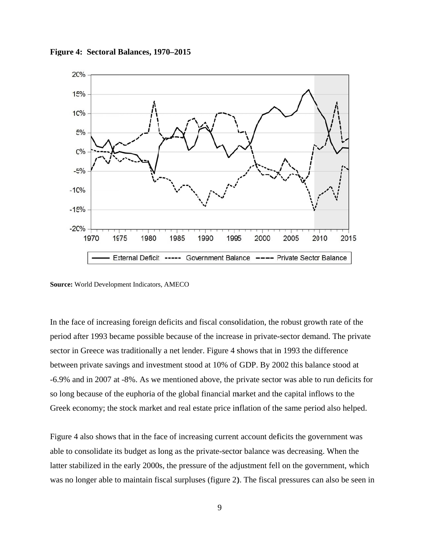Figure 4: Sectoral Balances, 1970–2015



Source: World Development Indicators, AMECO

In the face of increasing foreign deficits and fiscal consolidation, the robust growth rate of the period after 1993 became possible because of the increase in private-sector demand. The private sector in Greece was traditionally a net lender. Figure 4 shows that in 1993 the difference between private savings and investment stood at 10% of GDP. By 2002 this balance stood at -6.9% and in 2007 at -8%. As we mentioned above, the private sector was able to run deficits for so long because of the euphoria of the global financial market and the capital inflows to the Greek economy; the stock market and real estate price inflation of the same period also helped.

Figure 4 also shows that in the face of increasing current account deficits the government was able to consolidate its budget as long as the private-sector balance was decreasing. When the latter stabilized in the early 2000s, the pressure of the adjustment fell on the government, which was no longer able to maintain fiscal surpluses (figure 2). The fiscal pressures can also be seen in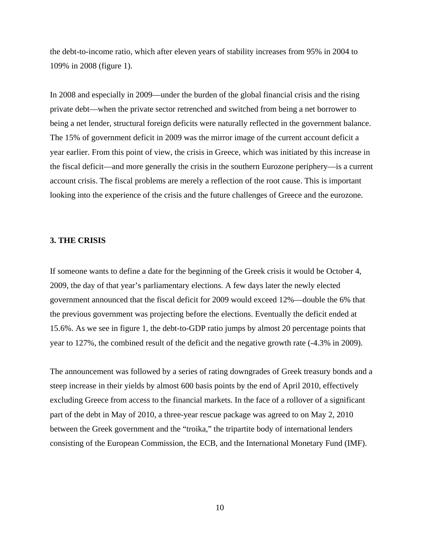the debt-to-income ratio, which after eleven years of stability increases from 95% in 2004 to 109% in 2008 (figure 1).

In 2008 and especially in 2009—under the burden of the global financial crisis and the rising private debt—when the private sector retrenched and switched from being a net borrower to being a net lender, structural foreign deficits were naturally reflected in the government balance. The 15% of government deficit in 2009 was the mirror image of the current account deficit a year earlier. From this point of view, the crisis in Greece, which was initiated by this increase in the fiscal deficit—and more generally the crisis in the southern Eurozone periphery—is a current account crisis. The fiscal problems are merely a reflection of the root cause. This is important looking into the experience of the crisis and the future challenges of Greece and the eurozone.

#### **3. THE CRISIS**

If someone wants to define a date for the beginning of the Greek crisis it would be October 4, 2009, the day of that year's parliamentary elections. A few days later the newly elected government announced that the fiscal deficit for 2009 would exceed 12%—double the 6% that the previous government was projecting before the elections. Eventually the deficit ended at 15.6%. As we see in figure 1, the debt-to-GDP ratio jumps by almost 20 percentage points that year to 127%, the combined result of the deficit and the negative growth rate (-4.3% in 2009).

The announcement was followed by a series of rating downgrades of Greek treasury bonds and a steep increase in their yields by almost 600 basis points by the end of April 2010, effectively excluding Greece from access to the financial markets. In the face of a rollover of a significant part of the debt in May of 2010, a three-year rescue package was agreed to on May 2, 2010 between the Greek government and the "troika," the tripartite body of international lenders consisting of the European Commission, the ECB, and the International Monetary Fund (IMF).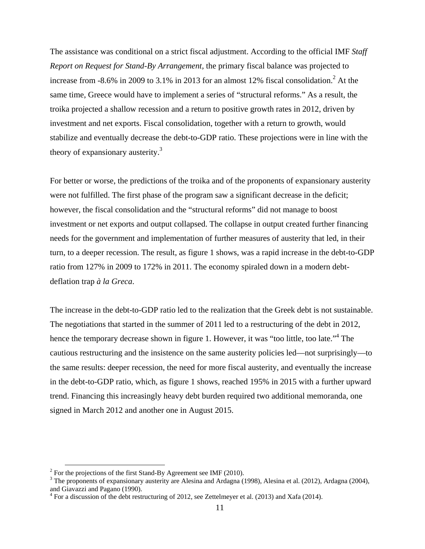The assistance was conditional on a strict fiscal adjustment. According to the official IMF *Staff Report on Request for Stand-By Arrangement,* the primary fiscal balance was projected to increase from -8.6% in 2009 to 3.1% in 2013 for an almost 12% fiscal consolidation.<sup>2</sup> At the same time, Greece would have to implement a series of "structural reforms." As a result, the troika projected a shallow recession and a return to positive growth rates in 2012, driven by investment and net exports. Fiscal consolidation, together with a return to growth, would stabilize and eventually decrease the debt-to-GDP ratio. These projections were in line with the theory of expansionary austerity.<sup>3</sup>

For better or worse, the predictions of the troika and of the proponents of expansionary austerity were not fulfilled. The first phase of the program saw a significant decrease in the deficit; however, the fiscal consolidation and the "structural reforms" did not manage to boost investment or net exports and output collapsed. The collapse in output created further financing needs for the government and implementation of further measures of austerity that led, in their turn, to a deeper recession. The result, as figure 1 shows, was a rapid increase in the debt-to-GDP ratio from 127% in 2009 to 172% in 2011. The economy spiraled down in a modern debtdeflation trap *à la Greca*.

The increase in the debt-to-GDP ratio led to the realization that the Greek debt is not sustainable. The negotiations that started in the summer of 2011 led to a restructuring of the debt in 2012, hence the temporary decrease shown in figure 1. However, it was "too little, too late."<sup>4</sup> The cautious restructuring and the insistence on the same austerity policies led—not surprisingly—to the same results: deeper recession, the need for more fiscal austerity, and eventually the increase in the debt-to-GDP ratio, which, as figure 1 shows, reached 195% in 2015 with a further upward trend. Financing this increasingly heavy debt burden required two additional memoranda, one signed in March 2012 and another one in August 2015.

 $^2$  E<sub>or</sub> +  $F^2$  For the projections of the first Stand-By Agreement see IMF (2010).

<sup>&</sup>lt;sup>3</sup> The proponents of expansionary austerity are Alesina and Ardagna (1998), Alesina et al. (2012), Ardagna (2004), and Giavazzi and Pagano (1990).

<sup>&</sup>lt;sup>4</sup> For a discussion of the debt restructuring of 2012, see Zettelmeyer et al. (2013) and Xafa (2014).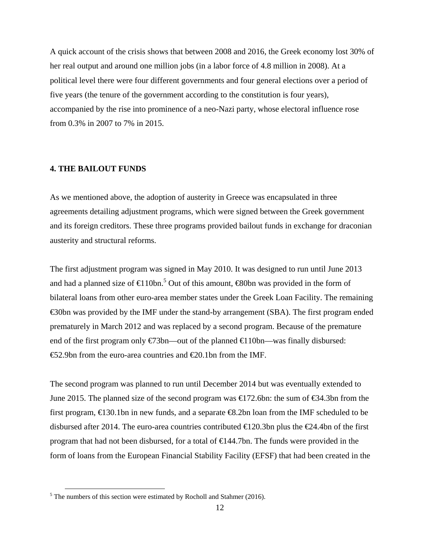A quick account of the crisis shows that between 2008 and 2016, the Greek economy lost 30% of her real output and around one million jobs (in a labor force of 4.8 million in 2008). At a political level there were four different governments and four general elections over a period of five years (the tenure of the government according to the constitution is four years), accompanied by the rise into prominence of a neo-Nazi party, whose electoral influence rose from 0.3% in 2007 to 7% in 2015.

#### **4. THE BAILOUT FUNDS**

As we mentioned above, the adoption of austerity in Greece was encapsulated in three agreements detailing adjustment programs, which were signed between the Greek government and its foreign creditors. These three programs provided bailout funds in exchange for draconian austerity and structural reforms.

The first adjustment program was signed in May 2010. It was designed to run until June 2013 and had a planned size of  $\epsilon$  10bn.<sup>5</sup> Out of this amount,  $\epsilon$ 80bn was provided in the form of bilateral loans from other euro-area member states under the Greek Loan Facility. The remaining €30bn was provided by the IMF under the stand-by arrangement (SBA). The first program ended prematurely in March 2012 and was replaced by a second program. Because of the premature end of the first program only  $\epsilon$ 73bn—out of the planned  $\epsilon$ 10bn—was finally disbursed: €52.9bn from the euro-area countries and €20.1bn from the IMF.

The second program was planned to run until December 2014 but was eventually extended to June 2015. The planned size of the second program was  $\bigoplus$  72.6bn: the sum of  $\bigoplus$  4.3bn from the first program,  $\in$ 130.1bn in new funds, and a separate  $\in$ 8.2bn loan from the IMF scheduled to be disbursed after 2014. The euro-area countries contributed  $\bigoplus$  20.3bn plus the  $\bigoplus$ 4.4bn of the first program that had not been disbursed, for a total of €144.7bn. The funds were provided in the form of loans from the European Financial Stability Facility (EFSF) that had been created in the

<sup>&</sup>lt;sup>5</sup> The numbers of this section were estimated by Rocholl and Stahmer (2016).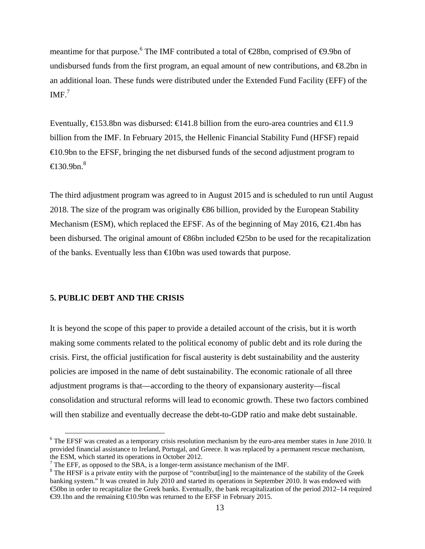meantime for that purpose.<sup>6</sup> The IMF contributed a total of  $\epsilon$ 28bn, comprised of  $\epsilon$ 9.9bn of undisbursed funds from the first program, an equal amount of new contributions, and  $\epsilon$ 8.2bn in an additional loan. These funds were distributed under the Extended Fund Facility (EFF) of the  $IMF.<sup>7</sup>$ 

Eventually,  $\bigoplus$  53.8bn was disbursed:  $\bigoplus$  41.8 billion from the euro-area countries and  $\bigoplus$  1.9 billion from the IMF. In February 2015, the Hellenic Financial Stability Fund (HFSF) repaid €10.9bn to the EFSF, bringing the net disbursed funds of the second adjustment program to  $\text{E}130.9$ bn. $^8$ 

The third adjustment program was agreed to in August 2015 and is scheduled to run until August 2018. The size of the program was originally €86 billion, provided by the European Stability Mechanism (ESM), which replaced the EFSF. As of the beginning of May 2016,  $\epsilon$ 21.4bn has been disbursed. The original amount of €86bn included €25bn to be used for the recapitalization of the banks. Eventually less than  $\bigoplus$ 0bn was used towards that purpose.

## **5. PUBLIC DEBT AND THE CRISIS**

It is beyond the scope of this paper to provide a detailed account of the crisis, but it is worth making some comments related to the political economy of public debt and its role during the crisis. First, the official justification for fiscal austerity is debt sustainability and the austerity policies are imposed in the name of debt sustainability. The economic rationale of all three adjustment programs is that—according to the theory of expansionary austerity—fiscal consolidation and structural reforms will lead to economic growth. These two factors combined will then stabilize and eventually decrease the debt-to-GDP ratio and make debt sustainable.

<sup>&</sup>lt;sup>6</sup> The EFSF was created as a temporary crisis resolution mechanism by the euro-area member states in June 2010. It provided financial assistance to Ireland, Portugal, and Greece. It was replaced by a permanent rescue mechanism, the ESM, which started its operations in October 2012.

The EFF, as opposed to the SBA, is a longer-term assistance mechanism of the IMF.

<sup>&</sup>lt;sup>8</sup> The HFSF is a private entity with the purpose of "contribut[ing] to the maintenance of the stability of the Greek banking system." It was created in July 2010 and started its operations in September 2010. It was endowed with €50bn in order to recapitalize the Greek banks. Eventually, the bank recapitalization of the period 2012–14 required €39.1bn and the remaining €10.9bn was returned to the EFSF in February 2015.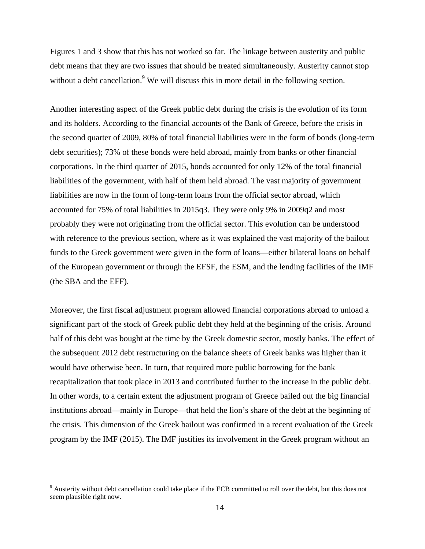Figures 1 and 3 show that this has not worked so far. The linkage between austerity and public debt means that they are two issues that should be treated simultaneously. Austerity cannot stop without a debt cancellation. <sup>9</sup> We will discuss this in more detail in the following section.

Another interesting aspect of the Greek public debt during the crisis is the evolution of its form and its holders. According to the financial accounts of the Bank of Greece, before the crisis in the second quarter of 2009, 80% of total financial liabilities were in the form of bonds (long-term debt securities); 73% of these bonds were held abroad, mainly from banks or other financial corporations. In the third quarter of 2015, bonds accounted for only 12% of the total financial liabilities of the government, with half of them held abroad. The vast majority of government liabilities are now in the form of long-term loans from the official sector abroad, which accounted for 75% of total liabilities in 2015q3. They were only 9% in 2009q2 and most probably they were not originating from the official sector. This evolution can be understood with reference to the previous section, where as it was explained the vast majority of the bailout funds to the Greek government were given in the form of loans—either bilateral loans on behalf of the European government or through the EFSF, the ESM, and the lending facilities of the IMF (the SBA and the EFF).

Moreover, the first fiscal adjustment program allowed financial corporations abroad to unload a significant part of the stock of Greek public debt they held at the beginning of the crisis. Around half of this debt was bought at the time by the Greek domestic sector, mostly banks. The effect of the subsequent 2012 debt restructuring on the balance sheets of Greek banks was higher than it would have otherwise been. In turn, that required more public borrowing for the bank recapitalization that took place in 2013 and contributed further to the increase in the public debt. In other words, to a certain extent the adjustment program of Greece bailed out the big financial institutions abroad—mainly in Europe—that held the lion's share of the debt at the beginning of the crisis. This dimension of the Greek bailout was confirmed in a recent evaluation of the Greek program by the IMF (2015). The IMF justifies its involvement in the Greek program without an

<sup>&</sup>lt;sup>9</sup><br>Austerity without debt cancellation could take place if the ECB committed to roll over the debt, but this does not seem plausible right now.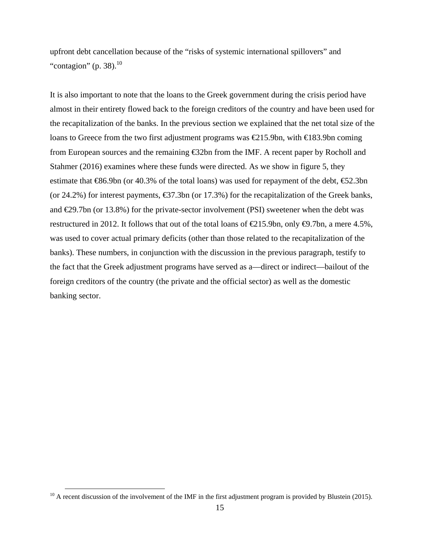upfront debt cancellation because of the "risks of systemic international spillovers" and "contagion" (p. 38). $^{10}$ 

It is also important to note that the loans to the Greek government during the crisis period have almost in their entirety flowed back to the foreign creditors of the country and have been used for the recapitalization of the banks. In the previous section we explained that the net total size of the loans to Greece from the two first adjustment programs was  $\bigoplus$ 15.9bn, with  $\bigoplus$ 83.9bn coming from European sources and the remaining €32bn from the IMF. A recent paper by Rocholl and Stahmer (2016) examines where these funds were directed. As we show in figure 5, they estimate that €86.9bn (or 40.3% of the total loans) was used for repayment of the debt, €52.3bn (or 24.2%) for interest payments,  $\text{\textsterling}37.3\text{bn}$  (or 17.3%) for the recapitalization of the Greek banks, and  $E$ 9.7bn (or 13.8%) for the private-sector involvement (PSI) sweetener when the debt was restructured in 2012. It follows that out of the total loans of  $\text{\textsterling}15.9$ bn, only  $\text{\textsterling}9.7$ bn, a mere 4.5%, was used to cover actual primary deficits (other than those related to the recapitalization of the banks). These numbers, in conjunction with the discussion in the previous paragraph, testify to the fact that the Greek adjustment programs have served as a—direct or indirect—bailout of the foreign creditors of the country (the private and the official sector) as well as the domestic banking sector.

 $^{10}$  A recent discussion of the involvement of the IMF in the first adjustment program is provided by Blustein (2015).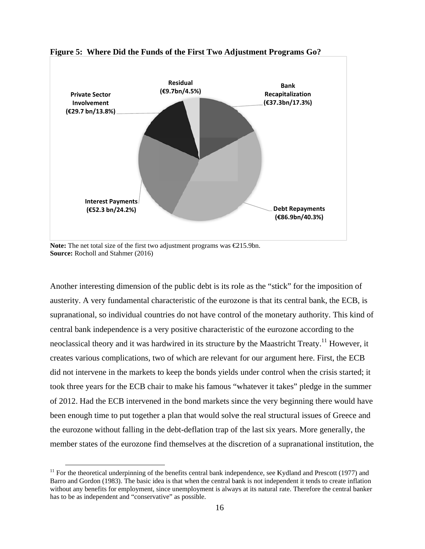

Figure 5: Where Did the Funds of the First Two Adjustment Programs Go?

Note: The net total size of the first two adjustment programs was  $\epsilon$ 215.9bn. **Source:** Rocholl and Stahmer (2016)

Another interesting dimension of the public debt is its role as the "stick" for the imposition of austerity. A very fundamental characteristic of the eurozone is that its central bank, the ECB, is supranational, so individual countries do not have control of the monetary authority. This kind of central bank independence is a very positive characteristic of the eurozone according to the neoclassical theory and it was hardwired in its structure by the Maastricht Treaty.<sup>11</sup> However, it creates various complications, two of which are relevant for our argument here. First, the ECB did not intervene in the markets to keep the bonds yields under control when the crisis started; it took three years for the ECB chair to make his famous "whatever it takes" pledge in the summer of 2012. Had the ECB intervened in the bond markets since the very beginning there would have been enough time to put together a plan that would solve the real structural issues of Greece and the eurozone without falling in the debt-deflation trap of the last six years. More generally, the member states of the eurozone find themselves at the discretion of a supranational institution, the

 $11$  For the theoretical underpinning of the benefits central bank independence, see Kydland and Prescott (1977) and Barro and Gordon (1983). The basic idea is that when the central bank is not independent it tends to create inflation without any benefits for employment, since unemployment is always at its natural rate. Therefore the central banker has to be as independent and "conservative" as possible.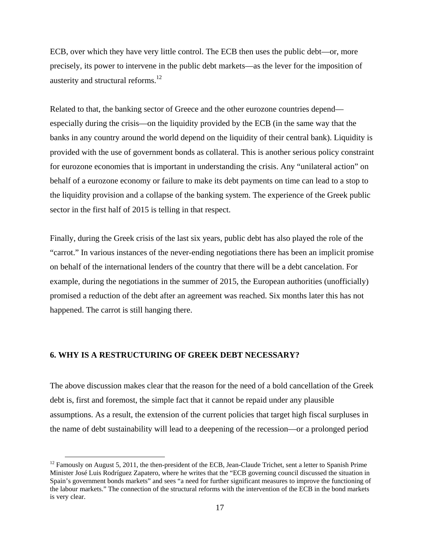ECB, over which they have very little control. The ECB then uses the public debt—or, more precisely, its power to intervene in the public debt markets—as the lever for the imposition of austerity and structural reforms.<sup>12</sup>

Related to that, the banking sector of Greece and the other eurozone countries depend especially during the crisis—on the liquidity provided by the ECB (in the same way that the banks in any country around the world depend on the liquidity of their central bank). Liquidity is provided with the use of government bonds as collateral. This is another serious policy constraint for eurozone economies that is important in understanding the crisis. Any "unilateral action" on behalf of a eurozone economy or failure to make its debt payments on time can lead to a stop to the liquidity provision and a collapse of the banking system. The experience of the Greek public sector in the first half of 2015 is telling in that respect.

Finally, during the Greek crisis of the last six years, public debt has also played the role of the "carrot." In various instances of the never-ending negotiations there has been an implicit promise on behalf of the international lenders of the country that there will be a debt cancelation. For example, during the negotiations in the summer of 2015, the European authorities (unofficially) promised a reduction of the debt after an agreement was reached. Six months later this has not happened. The carrot is still hanging there.

# **6. WHY IS A RESTRUCTURING OF GREEK DEBT NECESSARY?**

The above discussion makes clear that the reason for the need of a bold cancellation of the Greek debt is, first and foremost, the simple fact that it cannot be repaid under any plausible assumptions. As a result, the extension of the current policies that target high fiscal surpluses in the name of debt sustainability will lead to a deepening of the recession—or a prolonged period

<sup>&</sup>lt;sup>12</sup> Famously on August 5, 2011, the then-president of the ECB, Jean-Claude Trichet, sent a letter to Spanish Prime Minister José Luis Rodríguez Zapatero, where he writes that the "ECB governing council discussed the situation in Spain's government bonds markets" and sees "a need for further significant measures to improve the functioning of the labour markets." The connection of the structural reforms with the intervention of the ECB in the bond markets is very clear.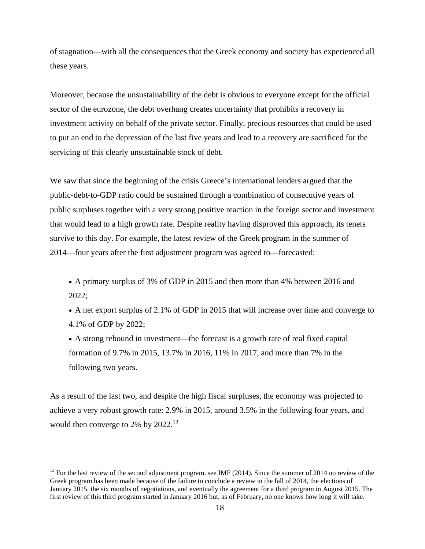of stagnation—with all the consequences that the Greek economy and society has experienced all these years.

Moreover, because the unsustainability of the debt is obvious to everyone except for the official sector of the eurozone, the debt overhang creates uncertainty that prohibits a recovery in investment activity on behalf of the private sector. Finally, precious resources that could be used to put an end to the depression of the last five years and lead to a recovery are sacrificed for the servicing of this clearly unsustainable stock of debt.

We saw that since the beginning of the crisis Greece's international lenders argued that the public-debt-to-GDP ratio could be sustained through a combination of consecutive years of public surpluses together with a very strong positive reaction in the foreign sector and investment that would lead to a high growth rate. Despite reality having disproved this approach, its tenets survive to this day. For example, the latest review of the Greek program in the summer of 2014—four years after the first adjustment program was agreed to—forecasted:

- A primary surplus of 3% of GDP in 2015 and then more than 4% between 2016 and 2022;
- A net export surplus of 2.1% of GDP in 2015 that will increase over time and converge to 4.1% of GDP by 2022;
- A strong rebound in investment—the forecast is a growth rate of real fixed capital formation of 9.7% in 2015, 13.7% in 2016, 11% in 2017, and more than 7% in the following two years.

As a result of the last two, and despite the high fiscal surpluses, the economy was projected to achieve a very robust growth rate: 2.9% in 2015, around 3.5% in the following four years, and would then converge to 2% by  $2022<sup>13</sup>$ 

 $13$  For the last review of the second adjustment program, see IMF (2014). Since the summer of 2014 no review of the Greek program has been made because of the failure to conclude a review in the fall of 2014, the elections of January 2015, the six months of negotiations, and eventually the agreement for a third program in August 2015. The first review of this third program started in January 2016 but, as of February, no one knows how long it will take.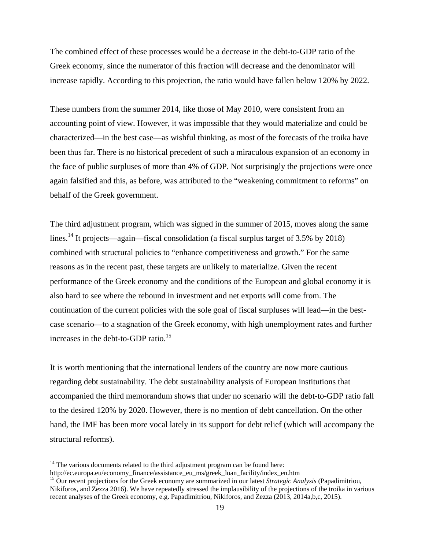The combined effect of these processes would be a decrease in the debt-to-GDP ratio of the Greek economy, since the numerator of this fraction will decrease and the denominator will increase rapidly. According to this projection, the ratio would have fallen below 120% by 2022.

These numbers from the summer 2014, like those of May 2010, were consistent from an accounting point of view. However, it was impossible that they would materialize and could be characterized—in the best case—as wishful thinking, as most of the forecasts of the troika have been thus far. There is no historical precedent of such a miraculous expansion of an economy in the face of public surpluses of more than 4% of GDP. Not surprisingly the projections were once again falsified and this, as before, was attributed to the "weakening commitment to reforms" on behalf of the Greek government.

The third adjustment program, which was signed in the summer of 2015, moves along the same lines.<sup>14</sup> It projects—again—fiscal consolidation (a fiscal surplus target of 3.5% by 2018) combined with structural policies to "enhance competitiveness and growth." For the same reasons as in the recent past, these targets are unlikely to materialize. Given the recent performance of the Greek economy and the conditions of the European and global economy it is also hard to see where the rebound in investment and net exports will come from. The continuation of the current policies with the sole goal of fiscal surpluses will lead—in the bestcase scenario—to a stagnation of the Greek economy, with high unemployment rates and further increases in the debt-to-GDP ratio.15

It is worth mentioning that the international lenders of the country are now more cautious regarding debt sustainability. The debt sustainability analysis of European institutions that accompanied the third memorandum shows that under no scenario will the debt-to-GDP ratio fall to the desired 120% by 2020. However, there is no mention of debt cancellation. On the other hand, the IMF has been more vocal lately in its support for debt relief (which will accompany the structural reforms).

 $14$  The various documents related to the third adjustment program can be found here:

http://ec.europa.eu/economy\_finance/assistance\_eu\_ms/greek\_loan\_facility/index\_en.htm

<sup>&</sup>lt;sup>15</sup> Our recent projections for the Greek economy are summarized in our latest *Strategic Analysis* (Papadimitriou, Nikiforos, and Zezza 2016). We have repeatedly stressed the implausibility of the projections of the troika in various recent analyses of the Greek economy, e.g. Papadimitriou, Nikiforos, and Zezza (2013, 2014a,b,c, 2015).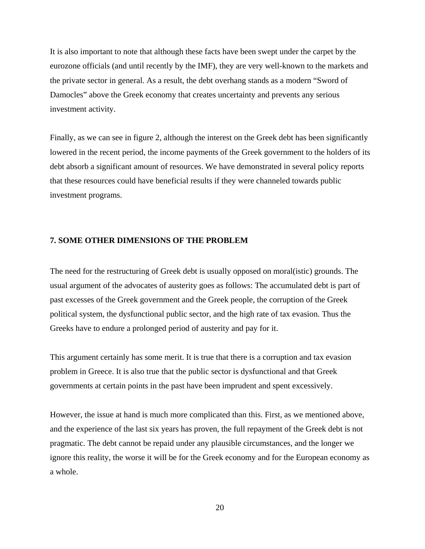It is also important to note that although these facts have been swept under the carpet by the eurozone officials (and until recently by the IMF), they are very well-known to the markets and the private sector in general. As a result, the debt overhang stands as a modern "Sword of Damocles" above the Greek economy that creates uncertainty and prevents any serious investment activity.

Finally, as we can see in figure 2, although the interest on the Greek debt has been significantly lowered in the recent period, the income payments of the Greek government to the holders of its debt absorb a significant amount of resources. We have demonstrated in several policy reports that these resources could have beneficial results if they were channeled towards public investment programs.

#### **7. SOME OTHER DIMENSIONS OF THE PROBLEM**

The need for the restructuring of Greek debt is usually opposed on moral(istic) grounds. The usual argument of the advocates of austerity goes as follows: The accumulated debt is part of past excesses of the Greek government and the Greek people, the corruption of the Greek political system, the dysfunctional public sector, and the high rate of tax evasion. Thus the Greeks have to endure a prolonged period of austerity and pay for it.

This argument certainly has some merit. It is true that there is a corruption and tax evasion problem in Greece. It is also true that the public sector is dysfunctional and that Greek governments at certain points in the past have been imprudent and spent excessively.

However, the issue at hand is much more complicated than this. First, as we mentioned above, and the experience of the last six years has proven, the full repayment of the Greek debt is not pragmatic. The debt cannot be repaid under any plausible circumstances, and the longer we ignore this reality, the worse it will be for the Greek economy and for the European economy as a whole.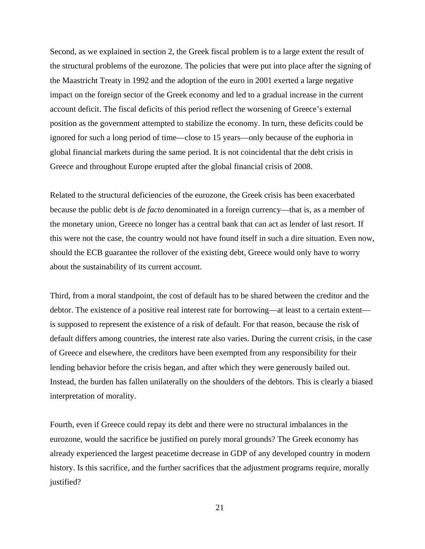Second, as we explained in section 2, the Greek fiscal problem is to a large extent the result of the structural problems of the eurozone. The policies that were put into place after the signing of the Maastricht Treaty in 1992 and the adoption of the euro in 2001 exerted a large negative impact on the foreign sector of the Greek economy and led to a gradual increase in the current account deficit. The fiscal deficits of this period reflect the worsening of Greece's external position as the government attempted to stabilize the economy. In turn, these deficits could be ignored for such a long period of time—close to 15 years—only because of the euphoria in global financial markets during the same period. It is not coincidental that the debt crisis in Greece and throughout Europe erupted after the global financial crisis of 2008.

Related to the structural deficiencies of the eurozone, the Greek crisis has been exacerbated because the public debt is *de facto* denominated in a foreign currency—that is, as a member of the monetary union, Greece no longer has a central bank that can act as lender of last resort. If this were not the case, the country would not have found itself in such a dire situation. Even now, should the ECB guarantee the rollover of the existing debt, Greece would only have to worry about the sustainability of its current account.

Third, from a moral standpoint, the cost of default has to be shared between the creditor and the debtor. The existence of a positive real interest rate for borrowing—at least to a certain extent is supposed to represent the existence of a risk of default. For that reason, because the risk of default differs among countries, the interest rate also varies. During the current crisis, in the case of Greece and elsewhere, the creditors have been exempted from any responsibility for their lending behavior before the crisis began, and after which they were generously bailed out. Instead, the burden has fallen unilaterally on the shoulders of the debtors. This is clearly a biased interpretation of morality.

Fourth, even if Greece could repay its debt and there were no structural imbalances in the eurozone, would the sacrifice be justified on purely moral grounds? The Greek economy has already experienced the largest peacetime decrease in GDP of any developed country in modern history. Is this sacrifice, and the further sacrifices that the adjustment programs require, morally justified?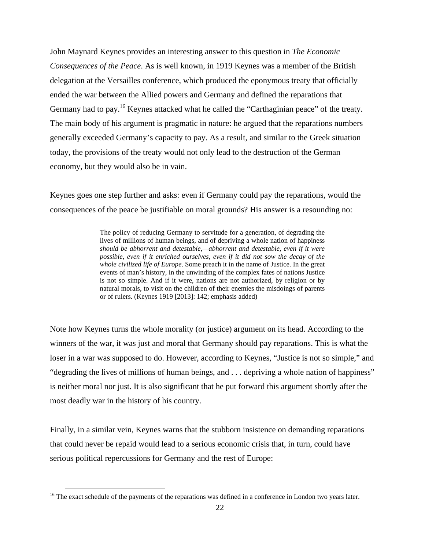John Maynard Keynes provides an interesting answer to this question in *The Economic Consequences of the Peace*. As is well known, in 1919 Keynes was a member of the British delegation at the Versailles conference, which produced the eponymous treaty that officially ended the war between the Allied powers and Germany and defined the reparations that Germany had to pay.<sup>16</sup> Keynes attacked what he called the "Carthaginian peace" of the treaty. The main body of his argument is pragmatic in nature: he argued that the reparations numbers generally exceeded Germany's capacity to pay. As a result, and similar to the Greek situation today, the provisions of the treaty would not only lead to the destruction of the German economy, but they would also be in vain.

Keynes goes one step further and asks: even if Germany could pay the reparations, would the consequences of the peace be justifiable on moral grounds? His answer is a resounding no:

> The policy of reducing Germany to servitude for a generation, of degrading the lives of millions of human beings, and of depriving a whole nation of happiness *should be abhorrent and detestable,—abhorrent and detestable, even if it were possible, even if it enriched ourselves, even if it did not sow the decay of the whole civilized life of Europe*. Some preach it in the name of Justice. In the great events of man's history, in the unwinding of the complex fates of nations Justice is not so simple. And if it were, nations are not authorized, by religion or by natural morals, to visit on the children of their enemies the misdoings of parents or of rulers. (Keynes 1919 [2013]: 142; emphasis added)

Note how Keynes turns the whole morality (or justice) argument on its head. According to the winners of the war, it was just and moral that Germany should pay reparations. This is what the loser in a war was supposed to do. However, according to Keynes, "Justice is not so simple," and "degrading the lives of millions of human beings, and . . . depriving a whole nation of happiness" is neither moral nor just. It is also significant that he put forward this argument shortly after the most deadly war in the history of his country.

Finally, in a similar vein, Keynes warns that the stubborn insistence on demanding reparations that could never be repaid would lead to a serious economic crisis that, in turn, could have serious political repercussions for Germany and the rest of Europe:

<sup>&</sup>lt;sup>16</sup> The exact schedule of the payments of the reparations was defined in a conference in London two years later.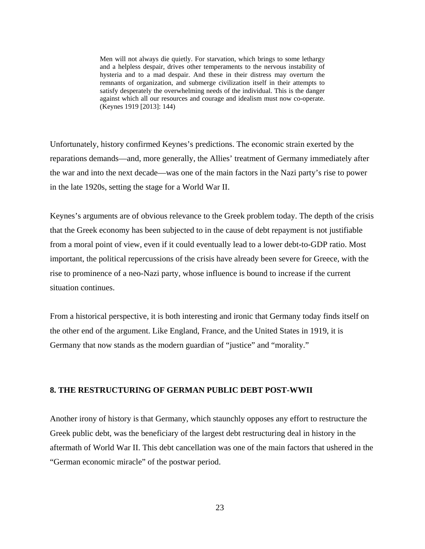Men will not always die quietly. For starvation, which brings to some lethargy and a helpless despair, drives other temperaments to the nervous instability of hysteria and to a mad despair. And these in their distress may overturn the remnants of organization, and submerge civilization itself in their attempts to satisfy desperately the overwhelming needs of the individual. This is the danger against which all our resources and courage and idealism must now co-operate. (Keynes 1919 [2013]: 144)

Unfortunately, history confirmed Keynes's predictions. The economic strain exerted by the reparations demands—and, more generally, the Allies' treatment of Germany immediately after the war and into the next decade—was one of the main factors in the Nazi party's rise to power in the late 1920s, setting the stage for a World War II.

Keynes's arguments are of obvious relevance to the Greek problem today. The depth of the crisis that the Greek economy has been subjected to in the cause of debt repayment is not justifiable from a moral point of view, even if it could eventually lead to a lower debt-to-GDP ratio. Most important, the political repercussions of the crisis have already been severe for Greece, with the rise to prominence of a neo-Nazi party, whose influence is bound to increase if the current situation continues.

From a historical perspective, it is both interesting and ironic that Germany today finds itself on the other end of the argument. Like England, France, and the United States in 1919, it is Germany that now stands as the modern guardian of "justice" and "morality."

## **8. THE RESTRUCTURING OF GERMAN PUBLIC DEBT POST-WWII**

Another irony of history is that Germany, which staunchly opposes any effort to restructure the Greek public debt, was the beneficiary of the largest debt restructuring deal in history in the aftermath of World War II. This debt cancellation was one of the main factors that ushered in the "German economic miracle" of the postwar period.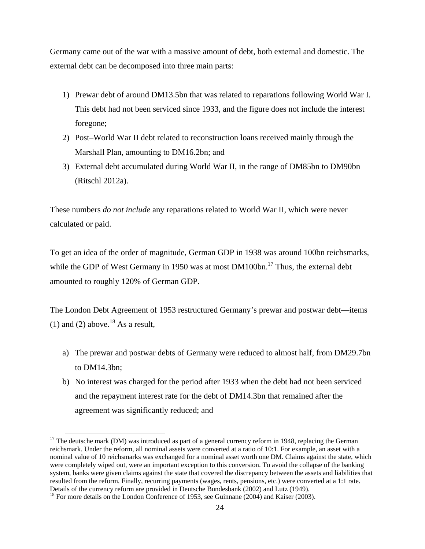Germany came out of the war with a massive amount of debt, both external and domestic. The external debt can be decomposed into three main parts:

- 1) Prewar debt of around DM13.5bn that was related to reparations following World War I. This debt had not been serviced since 1933, and the figure does not include the interest foregone;
- 2) Post–World War II debt related to reconstruction loans received mainly through the Marshall Plan, amounting to DM16.2bn; and
- 3) External debt accumulated during World War II, in the range of DM85bn to DM90bn (Ritschl 2012a).

These numbers *do not include* any reparations related to World War II, which were never calculated or paid.

To get an idea of the order of magnitude, German GDP in 1938 was around 100bn reichsmarks, while the GDP of West Germany in 1950 was at most DM100bn.<sup>17</sup> Thus, the external debt amounted to roughly 120% of German GDP.

The London Debt Agreement of 1953 restructured Germany's prewar and postwar debt—items (1) and (2) above.<sup>18</sup> As a result,

- a) The prewar and postwar debts of Germany were reduced to almost half, from DM29.7bn to DM14.3bn;
- b) No interest was charged for the period after 1933 when the debt had not been serviced and the repayment interest rate for the debt of DM14.3bn that remained after the agreement was significantly reduced; and

<sup>&</sup>lt;sup>17</sup> The deutsche mark (DM) was introduced as part of a general currency reform in 1948, replacing the German reichsmark. Under the reform, all nominal assets were converted at a ratio of 10:1. For example, an asset with a nominal value of 10 reichsmarks was exchanged for a nominal asset worth one DM. Claims against the state, which were completely wiped out, were an important exception to this conversion. To avoid the collapse of the banking system, banks were given claims against the state that covered the discrepancy between the assets and liabilities that resulted from the reform. Finally, recurring payments (wages, rents, pensions, etc.) were converted at a 1:1 rate. Details of the currency reform are provided in Deutsche Bundesbank (2002) and Lutz (1949).

<sup>&</sup>lt;sup>18</sup> For more details on the London Conference of 1953, see Guinnane (2004) and Kaiser (2003).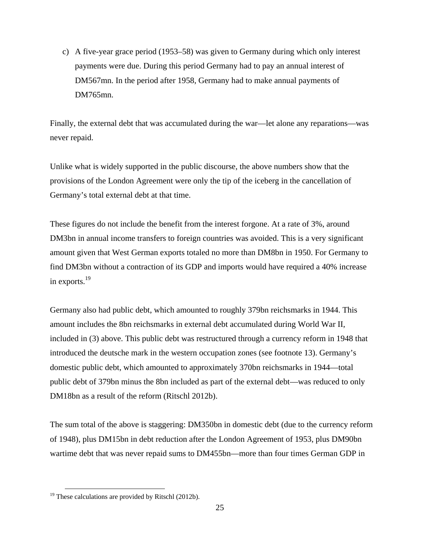c) A five-year grace period (1953–58) was given to Germany during which only interest payments were due. During this period Germany had to pay an annual interest of DM567mn. In the period after 1958, Germany had to make annual payments of DM765mn.

Finally, the external debt that was accumulated during the war—let alone any reparations—was never repaid.

Unlike what is widely supported in the public discourse, the above numbers show that the provisions of the London Agreement were only the tip of the iceberg in the cancellation of Germany's total external debt at that time.

These figures do not include the benefit from the interest forgone. At a rate of 3%, around DM3bn in annual income transfers to foreign countries was avoided. This is a very significant amount given that West German exports totaled no more than DM8bn in 1950. For Germany to find DM3bn without a contraction of its GDP and imports would have required a 40% increase in exports.19

Germany also had public debt, which amounted to roughly 379bn reichsmarks in 1944. This amount includes the 8bn reichsmarks in external debt accumulated during World War II, included in (3) above. This public debt was restructured through a currency reform in 1948 that introduced the deutsche mark in the western occupation zones (see footnote 13). Germany's domestic public debt, which amounted to approximately 370bn reichsmarks in 1944—total public debt of 379bn minus the 8bn included as part of the external debt—was reduced to only DM18bn as a result of the reform (Ritschl 2012b).

The sum total of the above is staggering: DM350bn in domestic debt (due to the currency reform of 1948), plus DM15bn in debt reduction after the London Agreement of 1953, plus DM90bn wartime debt that was never repaid sums to DM455bn—more than four times German GDP in

 $19$  These calculations are provided by Ritschl (2012b).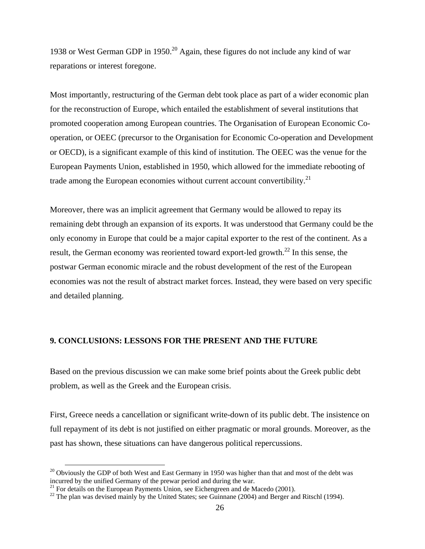1938 or West German GDP in 1950.<sup>20</sup> Again, these figures do not include any kind of war reparations or interest foregone.

Most importantly, restructuring of the German debt took place as part of a wider economic plan for the reconstruction of Europe, which entailed the establishment of several institutions that promoted cooperation among European countries. The Organisation of European Economic Cooperation, or OEEC (precursor to the Organisation for Economic Co-operation and Development or OECD), is a significant example of this kind of institution. The OEEC was the venue for the European Payments Union, established in 1950, which allowed for the immediate rebooting of trade among the European economies without current account convertibility.<sup>21</sup>

Moreover, there was an implicit agreement that Germany would be allowed to repay its remaining debt through an expansion of its exports. It was understood that Germany could be the only economy in Europe that could be a major capital exporter to the rest of the continent. As a result, the German economy was reoriented toward export-led growth.<sup>22</sup> In this sense, the postwar German economic miracle and the robust development of the rest of the European economies was not the result of abstract market forces. Instead, they were based on very specific and detailed planning.

### **9. CONCLUSIONS: LESSONS FOR THE PRESENT AND THE FUTURE**

Based on the previous discussion we can make some brief points about the Greek public debt problem, as well as the Greek and the European crisis.

First, Greece needs a cancellation or significant write-down of its public debt. The insistence on full repayment of its debt is not justified on either pragmatic or moral grounds. Moreover, as the past has shown, these situations can have dangerous political repercussions.

 $20$  Obviously the GDP of both West and East Germany in 1950 was higher than that and most of the debt was incurred by the unified Germany of the prewar period and during the war.

<sup>&</sup>lt;sup>21</sup> For details on the European Payments Union, see Eichengreen and de Macedo (2001).

 $22$  The plan was devised mainly by the United States; see Guinnane (2004) and Berger and Ritschl (1994).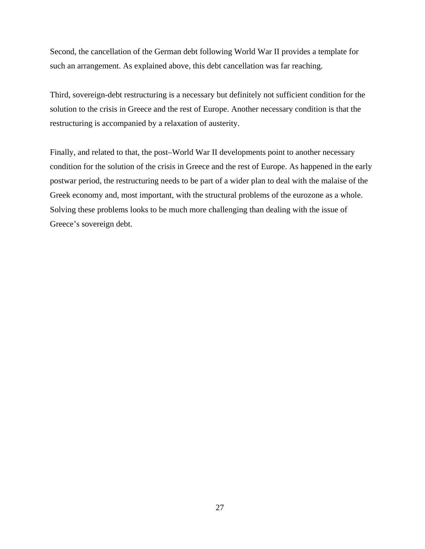Second, the cancellation of the German debt following World War II provides a template for such an arrangement. As explained above, this debt cancellation was far reaching.

Third, sovereign-debt restructuring is a necessary but definitely not sufficient condition for the solution to the crisis in Greece and the rest of Europe. Another necessary condition is that the restructuring is accompanied by a relaxation of austerity.

Finally, and related to that, the post–World War II developments point to another necessary condition for the solution of the crisis in Greece and the rest of Europe. As happened in the early postwar period, the restructuring needs to be part of a wider plan to deal with the malaise of the Greek economy and, most important, with the structural problems of the eurozone as a whole. Solving these problems looks to be much more challenging than dealing with the issue of Greece's sovereign debt.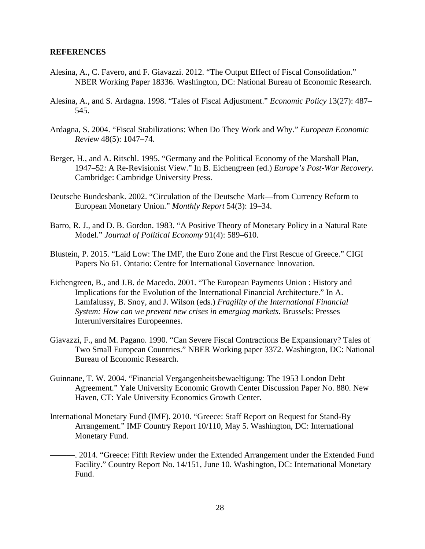#### **REFERENCES**

- Alesina, A., C. Favero, and F. Giavazzi. 2012. "The Output Effect of Fiscal Consolidation." NBER Working Paper 18336. Washington, DC: National Bureau of Economic Research.
- Alesina, A., and S. Ardagna. 1998. "Tales of Fiscal Adjustment." *Economic Policy* 13(27): 487– 545.
- Ardagna, S. 2004. "Fiscal Stabilizations: When Do They Work and Why." *European Economic Review* 48(5): 1047–74.
- Berger, H., and A. Ritschl. 1995. "Germany and the Political Economy of the Marshall Plan, 1947–52: A Re-Revisionist View." In B. Eichengreen (ed.) *Europe's Post-War Recovery.* Cambridge: Cambridge University Press.
- Deutsche Bundesbank. 2002. "Circulation of the Deutsche Mark—from Currency Reform to European Monetary Union." *Monthly Report* 54(3): 19–34.
- Barro, R. J., and D. B. Gordon. 1983. "A Positive Theory of Monetary Policy in a Natural Rate Model." *Journal of Political Economy* 91(4): 589–610.
- Blustein, P. 2015. "Laid Low: The IMF, the Euro Zone and the First Rescue of Greece." CIGI Papers No 61. Ontario: Centre for International Governance Innovation.
- Eichengreen, B., and J.B. de Macedo. 2001. "The European Payments Union : History and Implications for the Evolution of the International Financial Architecture." In A. Lamfalussy, B. Snoy, and J. Wilson (eds.) *Fragility of the International Financial System: How can we prevent new crises in emerging markets.* Brussels: Presses Interuniversitaires Europeennes*.*
- Giavazzi, F., and M. Pagano. 1990. "Can Severe Fiscal Contractions Be Expansionary? Tales of Two Small European Countries." NBER Working paper 3372. Washington, DC: National Bureau of Economic Research.
- Guinnane, T. W. 2004. "Financial Vergangenheitsbewaeltigung: The 1953 London Debt Agreement." Yale University Economic Growth Center Discussion Paper No. 880. New Haven, CT: Yale University Economics Growth Center.
- International Monetary Fund (IMF). 2010. "Greece: Staff Report on Request for Stand-By Arrangement." IMF Country Report 10/110, May 5. Washington, DC: International Monetary Fund.
- ———. 2014. "Greece: Fifth Review under the Extended Arrangement under the Extended Fund Facility." Country Report No. 14/151, June 10. Washington, DC: International Monetary Fund.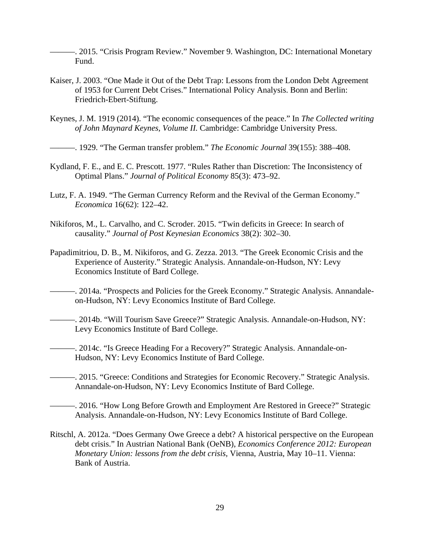———. 2015. "Crisis Program Review." November 9. Washington, DC: International Monetary Fund.

- Kaiser, J. 2003. "One Made it Out of the Debt Trap: Lessons from the London Debt Agreement of 1953 for Current Debt Crises." International Policy Analysis. Bonn and Berlin: Friedrich-Ebert-Stiftung.
- Keynes, J. M. 1919 (2014). "The economic consequences of the peace." In *The Collected writing of John Maynard Keynes, Volume II.* Cambridge: Cambridge University Press.
- ———. 1929. "The German transfer problem." *The Economic Journal* 39(155): 388–408.
- Kydland, F. E., and E. C. Prescott. 1977. "Rules Rather than Discretion: The Inconsistency of Optimal Plans." *Journal of Political Economy* 85(3): 473–92.
- Lutz, F. A. 1949. "The German Currency Reform and the Revival of the German Economy." *Economica* 16(62): 122–42.
- Nikiforos, M., L. Carvalho, and C. Scroder. 2015. "Twin deficits in Greece: In search of causality." *Journal of Post Keynesian Economics* 38(2): 302–30.
- Papadimitriou, D. B., M. Nikiforos, and G. Zezza. 2013. "The Greek Economic Crisis and the Experience of Austerity." Strategic Analysis. Annandale-on-Hudson, NY: Levy Economics Institute of Bard College.
- ———. 2014a. "Prospects and Policies for the Greek Economy." Strategic Analysis. Annandaleon-Hudson, NY: Levy Economics Institute of Bard College.
- -. 2014b. "Will Tourism Save Greece?" Strategic Analysis. Annandale-on-Hudson, NY: Levy Economics Institute of Bard College.

———. 2014c. "Is Greece Heading For a Recovery?" Strategic Analysis. Annandale-on-Hudson, NY: Levy Economics Institute of Bard College.

- ———. 2015. "Greece: Conditions and Strategies for Economic Recovery." Strategic Analysis. Annandale-on-Hudson, NY: Levy Economics Institute of Bard College.
- ———. 2016. "How Long Before Growth and Employment Are Restored in Greece?" Strategic Analysis. Annandale-on-Hudson, NY: Levy Economics Institute of Bard College.
- Ritschl, A. 2012a. "Does Germany Owe Greece a debt? A historical perspective on the European debt crisis." In Austrian National Bank (OeNB), *Economics Conference 2012: European Monetary Union: lessons from the debt crisis,* Vienna, Austria, May 10–11. Vienna: Bank of Austria.